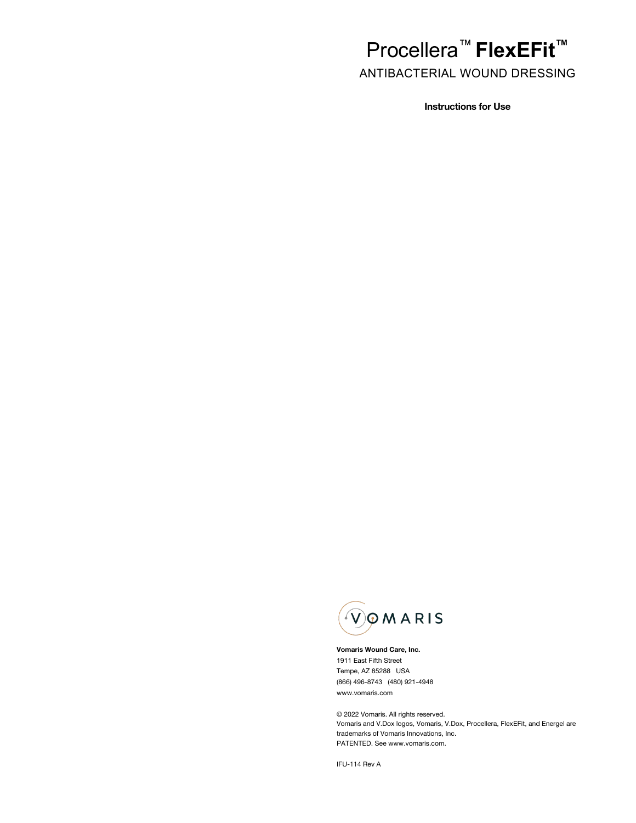# Procellera™ **FlexEFit™**

ANTIBACTERIAL WOUND DRESSING

**Instructions for Use**



**Vomaris Wound Care, Inc.** 1911 East Fifth Street Tempe, AZ 85288 USA (866) 496-8743 (480) 921-4948 www.vomaris.com

© 2022 Vomaris. All rights reserved. Vomaris and V.Dox logos, Vomaris, V.Dox, Procellera, FlexEFit, and Energel are trademarks of Vomaris Innovations, Inc. PATENTED. See www.vomaris.com.

IFU-114 Rev A